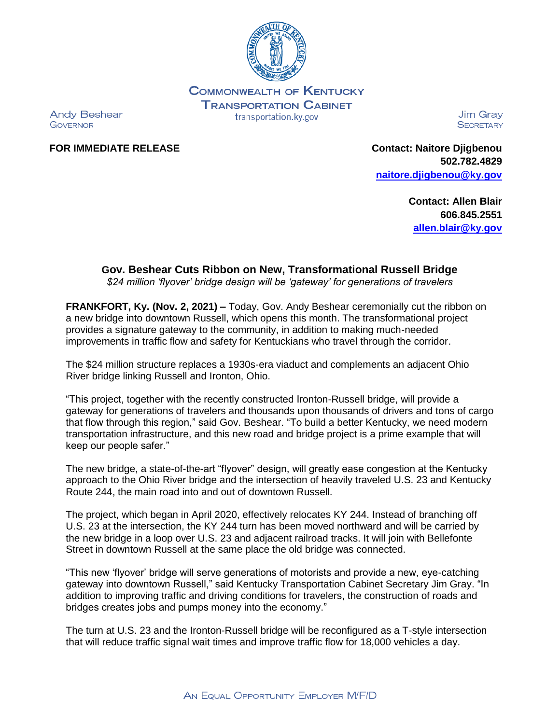

**COMMONWEALTH OF KENTUCKY TRANSPORTATION CABINET** transportation.ky.gov

**Andy Beshear GOVERNOR** 

Jim Grav **SECRETARY** 

**FOR IMMEDIATE RELEASE Contact: Naitore Djigbenou 502.782.4829 [naitore.djigbenou@ky.gov](mailto:naitore.djigbenou@ky.gov)**

> **Contact: Allen Blair 606.845.2551 [allen.blair@ky.gov](mailto:allen.blair@ky.gov)**

## **Gov. Beshear Cuts Ribbon on New, Transformational Russell Bridge**

*\$24 million 'flyover' bridge design will be 'gateway' for generations of travelers*

**FRANKFORT, Ky. (Nov. 2, 2021) –** Today, Gov. Andy Beshear ceremonially cut the ribbon on a new bridge into downtown Russell, which opens this month. The transformational project provides a signature gateway to the community, in addition to making much-needed improvements in traffic flow and safety for Kentuckians who travel through the corridor.

The \$24 million structure replaces a 1930s-era viaduct and complements an adjacent Ohio River bridge linking Russell and Ironton, Ohio.

"This project, together with the recently constructed Ironton-Russell bridge, will provide a gateway for generations of travelers and thousands upon thousands of drivers and tons of cargo that flow through this region," said Gov. Beshear. "To build a better Kentucky, we need modern transportation infrastructure, and this new road and bridge project is a prime example that will keep our people safer."

The new bridge, a state-of-the-art "flyover" design, will greatly ease congestion at the Kentucky approach to the Ohio River bridge and the intersection of heavily traveled U.S. 23 and Kentucky Route 244, the main road into and out of downtown Russell.

The project, which began in April 2020, effectively relocates KY 244. Instead of branching off U.S. 23 at the intersection, the KY 244 turn has been moved northward and will be carried by the new bridge in a loop over U.S. 23 and adjacent railroad tracks. It will join with Bellefonte Street in downtown Russell at the same place the old bridge was connected.

"This new 'flyover' bridge will serve generations of motorists and provide a new, eye-catching gateway into downtown Russell," said Kentucky Transportation Cabinet Secretary Jim Gray. "In addition to improving traffic and driving conditions for travelers, the construction of roads and bridges creates jobs and pumps money into the economy."

The turn at U.S. 23 and the Ironton-Russell bridge will be reconfigured as a T-style intersection that will reduce traffic signal wait times and improve traffic flow for 18,000 vehicles a day.